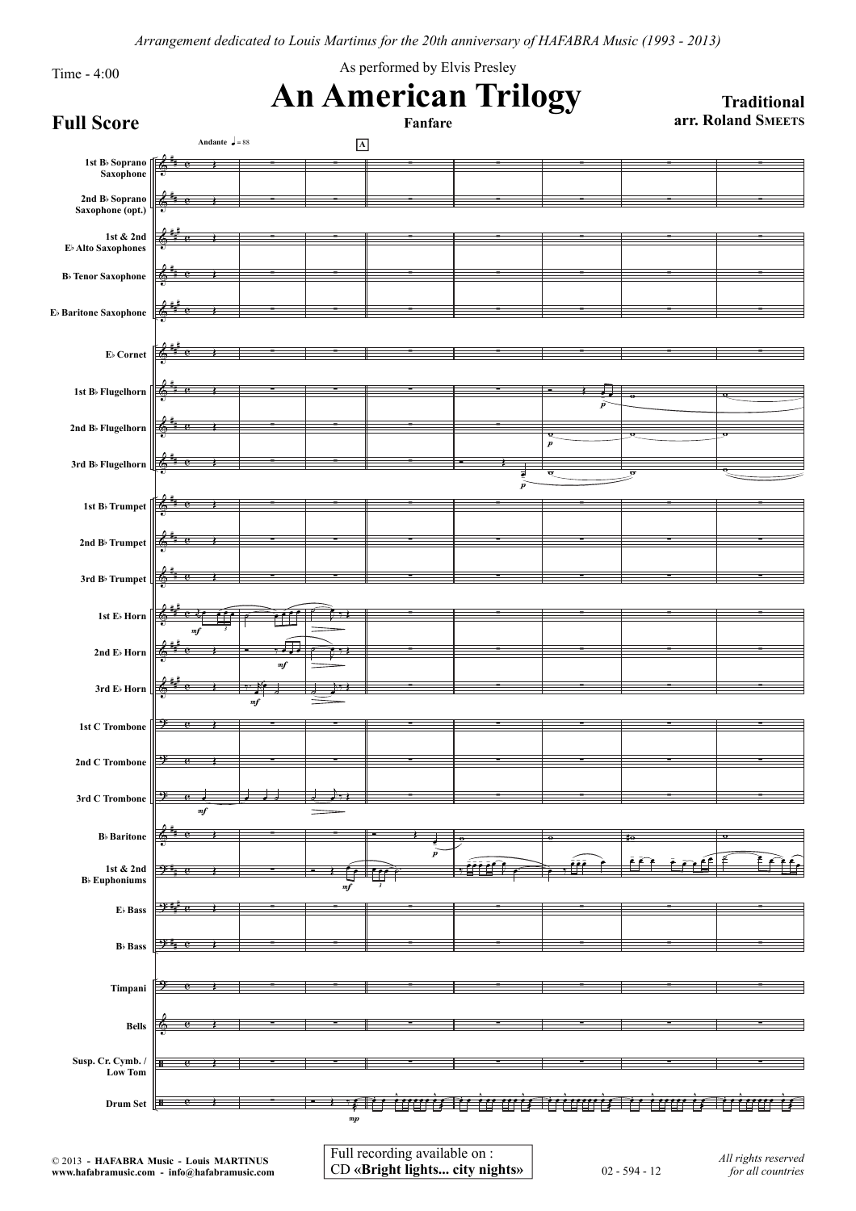Time - 4:00

As performed by Elvis Presley

## **An American Trilogy**

**Traditional arr. Roland SMEETS**

| <b>Full Score</b>                                                                       |                                  |    |                                | Fanfare                        | $\boldsymbol{\sim}$     |                         | arr. Roland SMEETS  |
|-----------------------------------------------------------------------------------------|----------------------------------|----|--------------------------------|--------------------------------|-------------------------|-------------------------|---------------------|
|                                                                                         | Andante $\frac{1}{2} = 88$       |    | $\boldsymbol{\rm A}$           |                                |                         |                         |                     |
| 1st B <sub>b</sub> Soprano                                                              |                                  |    |                                |                                |                         |                         |                     |
| $2nd B\rightarrow$ Soprano                                                              |                                  |    |                                |                                |                         |                         |                     |
| Saxophone (opt.)                                                                        |                                  |    |                                |                                |                         |                         |                     |
| 1st & 2nd<br>E♭Alto Saxophones                                                          |                                  |    |                                |                                |                         |                         |                     |
|                                                                                         |                                  |    |                                |                                |                         |                         |                     |
| <b>B</b> Tenor Saxophone                                                                | Ф,                               |    |                                |                                |                         |                         |                     |
| $\mathbf{E} \flat$ Baritone Saxophone                                                   |                                  |    |                                |                                |                         |                         |                     |
|                                                                                         |                                  |    |                                |                                |                         |                         |                     |
| $\mathbf{E}\flat$ Cornet                                                                |                                  |    |                                |                                |                         |                         |                     |
| 1st B $\flat$ Flugelhorn                                                                |                                  |    |                                |                                |                         |                         |                     |
|                                                                                         |                                  |    |                                |                                | $\vec{p}$               |                         |                     |
| 2nd B $\flat$ Flugelhorn                                                                |                                  |    |                                |                                | $\overline{\mathbf{o}}$ | $\overline{\mathbf{o}}$ |                     |
| 3rd B <sup>b</sup> Flugelhorn                                                           |                                  |    |                                |                                | $\boldsymbol{p}$        |                         |                     |
|                                                                                         |                                  |    |                                |                                | $\sigma$                | ō                       |                     |
| 1st $\mathbf{B}\flat$ Trumpet                                                           |                                  |    |                                |                                |                         |                         |                     |
|                                                                                         |                                  |    |                                |                                |                         |                         |                     |
| $2{\mathbf n} {\mathbf d}$ B Frumpet                                                    |                                  |    |                                |                                |                         |                         |                     |
| 3rd B Trumpet                                                                           |                                  |    |                                |                                |                         |                         |                     |
|                                                                                         |                                  |    |                                |                                |                         |                         |                     |
| 1st $\mathbf{E}\flat$ Horn                                                              | mf                               |    |                                |                                |                         |                         |                     |
| 2nd $\mathbf{E}\flat$ Horn                                                              |                                  |    |                                |                                |                         |                         |                     |
|                                                                                         |                                  | mf |                                |                                |                         |                         |                     |
| $3rd E\rightarrow$ Horn                                                                 |                                  | mf |                                |                                |                         |                         |                     |
| <b>1st C Trombone</b>                                                                   | e                                |    |                                |                                |                         |                         |                     |
|                                                                                         |                                  |    |                                |                                |                         |                         |                     |
| $2\mathrm{nd}$ C Trombone                                                               |                                  |    |                                |                                |                         |                         |                     |
| $3\mathrm{rd}$ C Trombone                                                               |                                  |    |                                |                                |                         |                         |                     |
|                                                                                         | $m\!f$                           |    |                                |                                |                         |                         |                     |
| $\mathbf{B}\flat$ Baritone                                                              |                                  |    |                                |                                |                         |                         |                     |
| 1st & 2nd                                                                               | $9 - 1$                          |    |                                | $\boldsymbol{v}$               |                         |                         |                     |
| <b>B</b> Euphoniums                                                                     |                                  |    |                                |                                |                         |                         |                     |
| $\mathbf{E} \flat$ Bass                                                                 | $2 + c$                          |    |                                |                                |                         |                         |                     |
|                                                                                         | サキ                               |    |                                |                                |                         |                         |                     |
| <b>B</b> <sub>b</sub> Bass                                                              |                                  |    |                                |                                |                         |                         |                     |
| Timpani                                                                                 | →                                |    |                                |                                |                         |                         |                     |
|                                                                                         |                                  |    |                                |                                |                         |                         |                     |
| <b>Bells</b>                                                                            |                                  |    |                                |                                |                         |                         |                     |
| Susp. Cr. Cymb./                                                                        | $\blacksquare$<br>$\overline{ }$ |    |                                |                                |                         |                         |                     |
| <b>Low Tom</b>                                                                          |                                  |    |                                |                                |                         |                         |                     |
| Drum Set                                                                                |                                  |    |                                |                                |                         |                         |                     |
|                                                                                         |                                  |    | $\boldsymbol{m}\boldsymbol{p}$ |                                |                         |                         |                     |
|                                                                                         |                                  |    |                                | Full recording available on :  |                         |                         | All rights reserved |
| © 2013 - HAFABRA Music - Louis MARTINUS<br>www.hafabramusic.com - info@hafabramusic.com |                                  |    |                                | CD «Bright lights city nights» |                         | $02 - 594 - 12$         | for all countries   |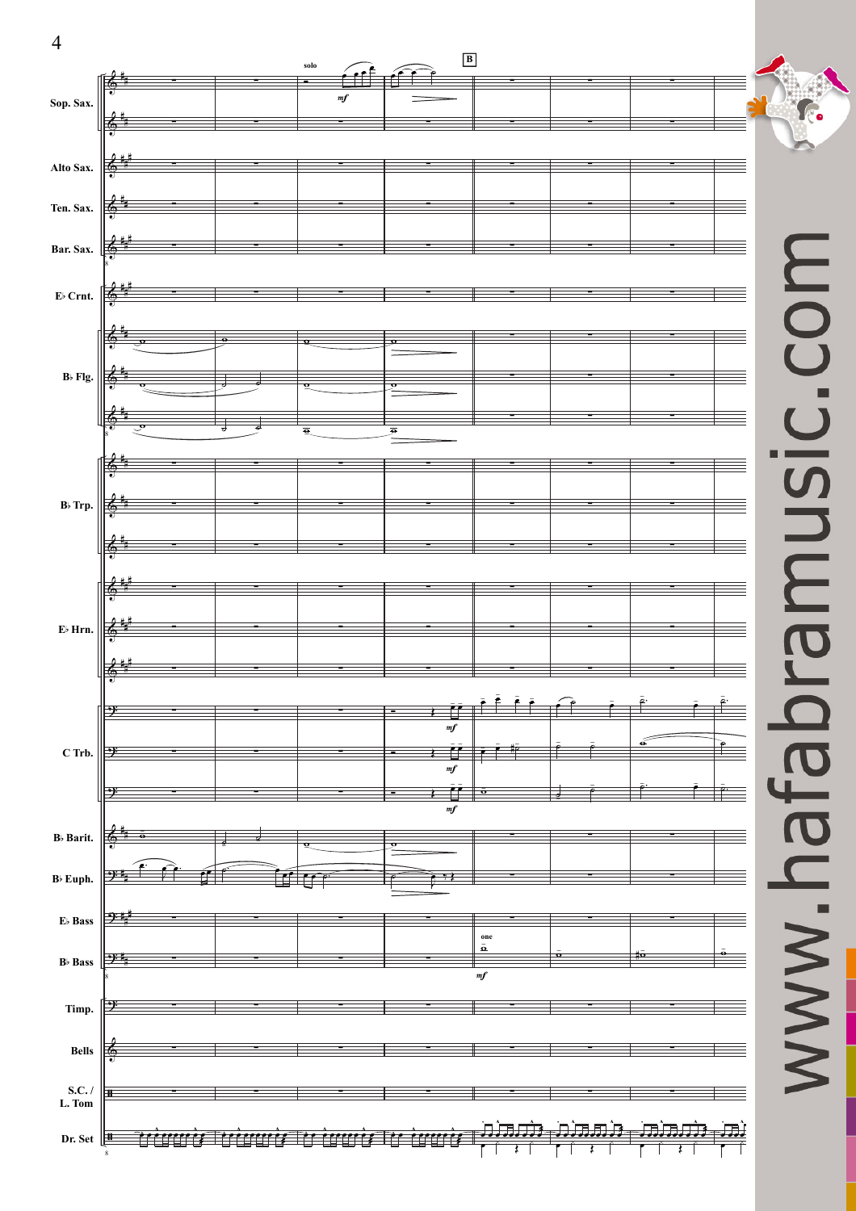

 $\blacklozenge$ WW.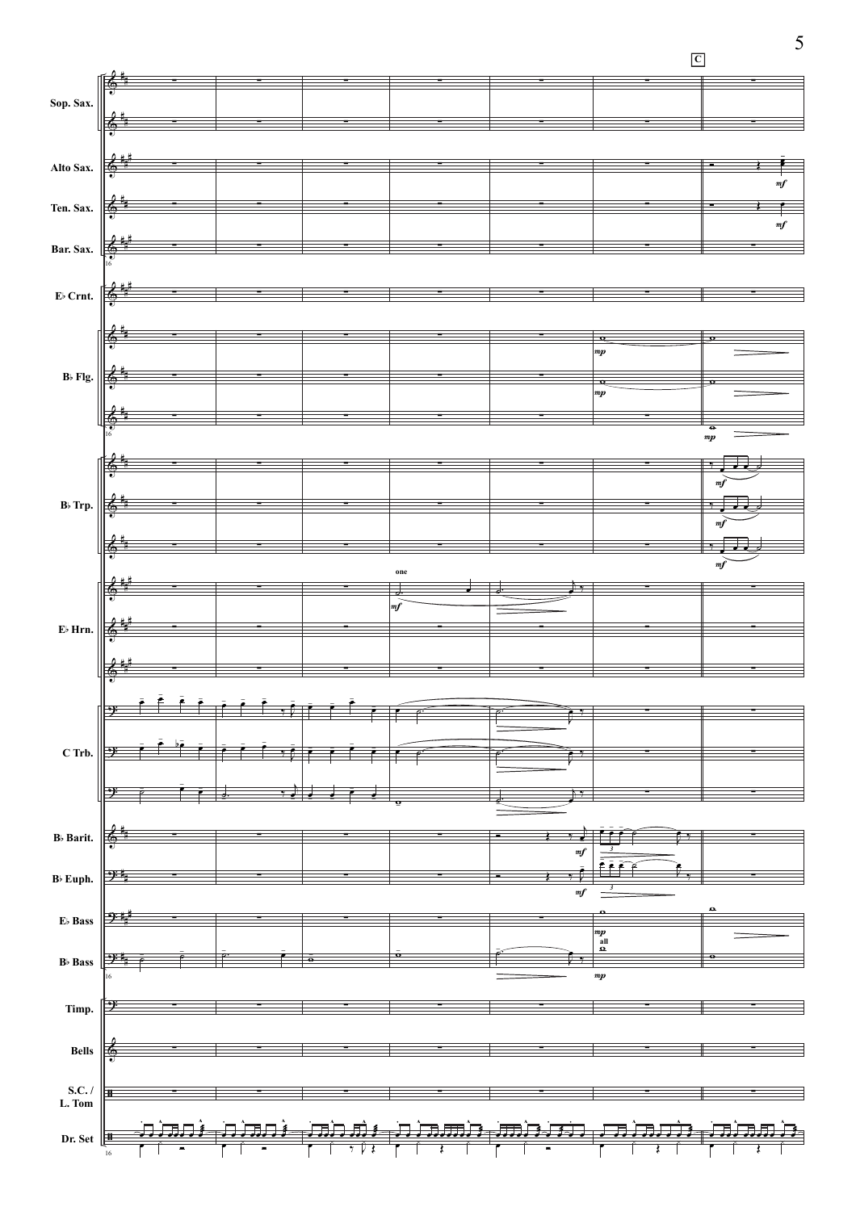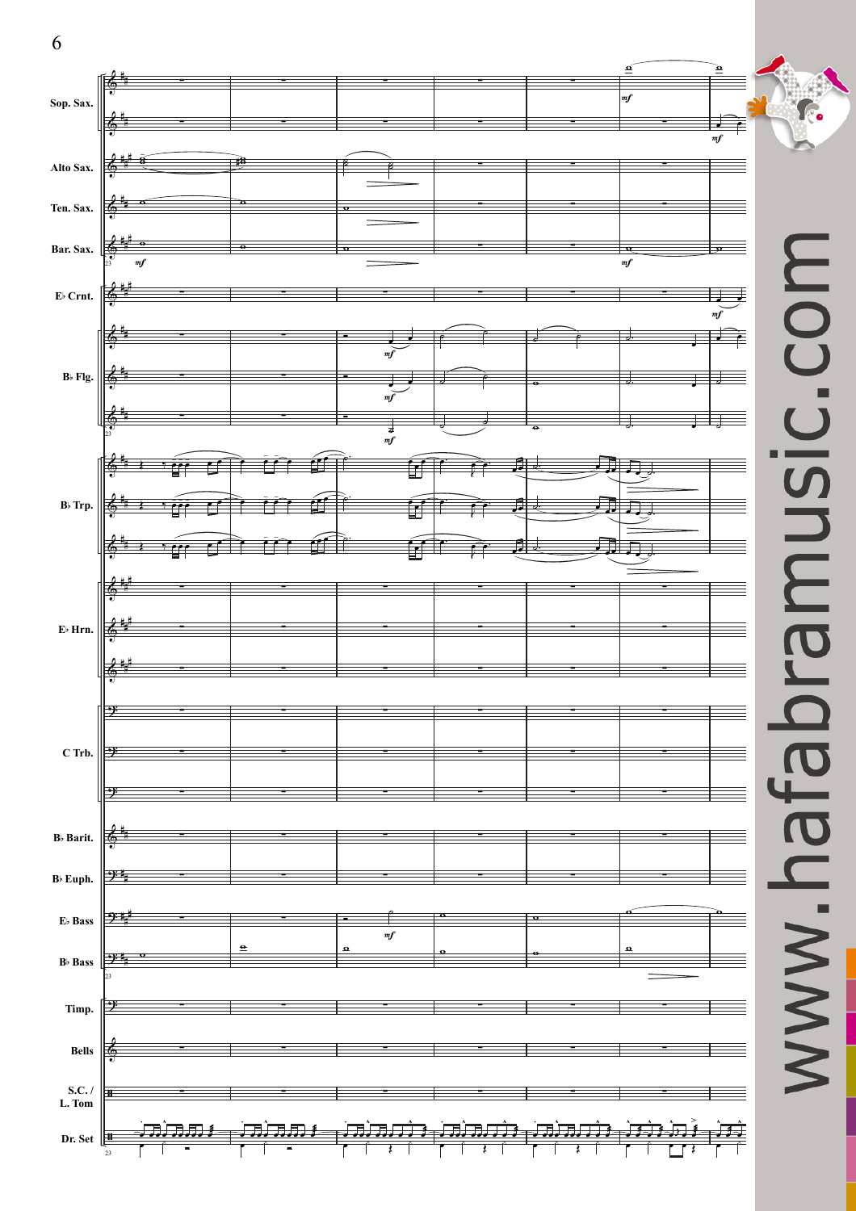

WW.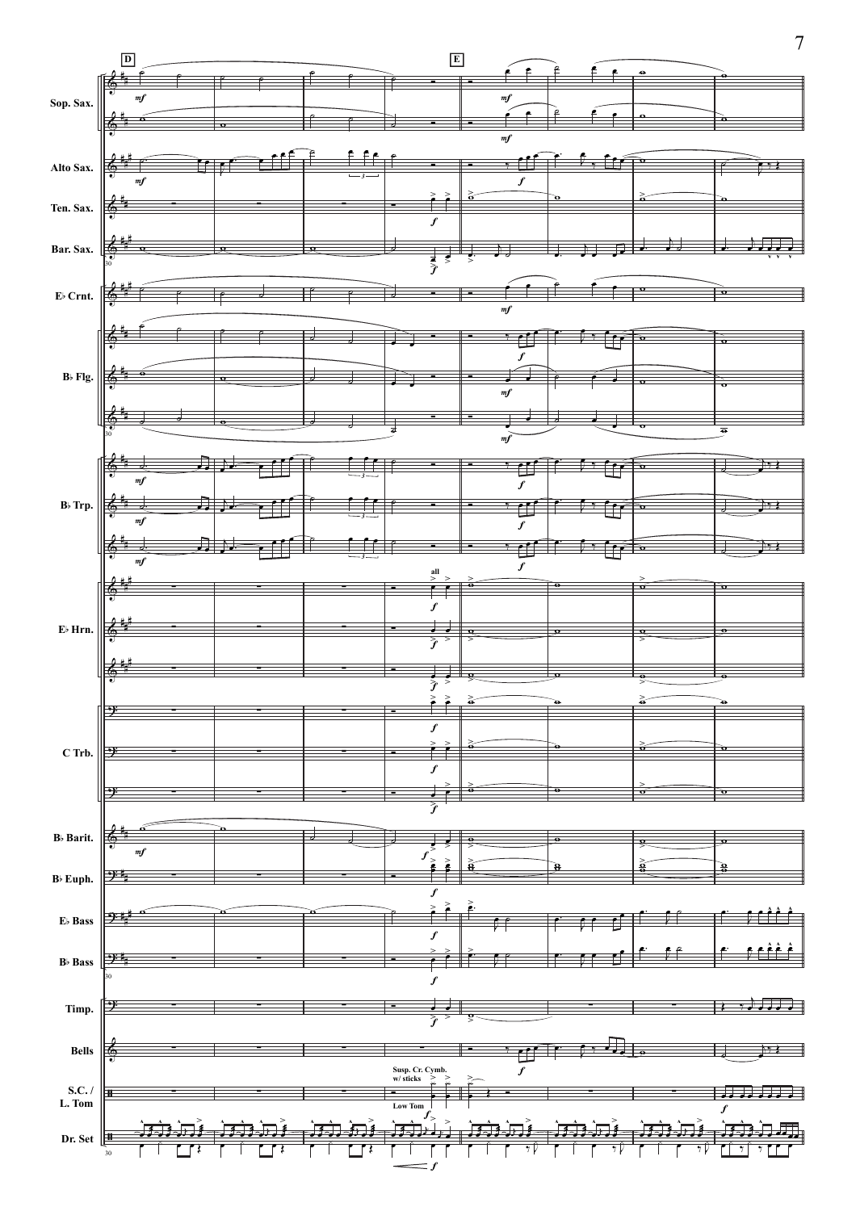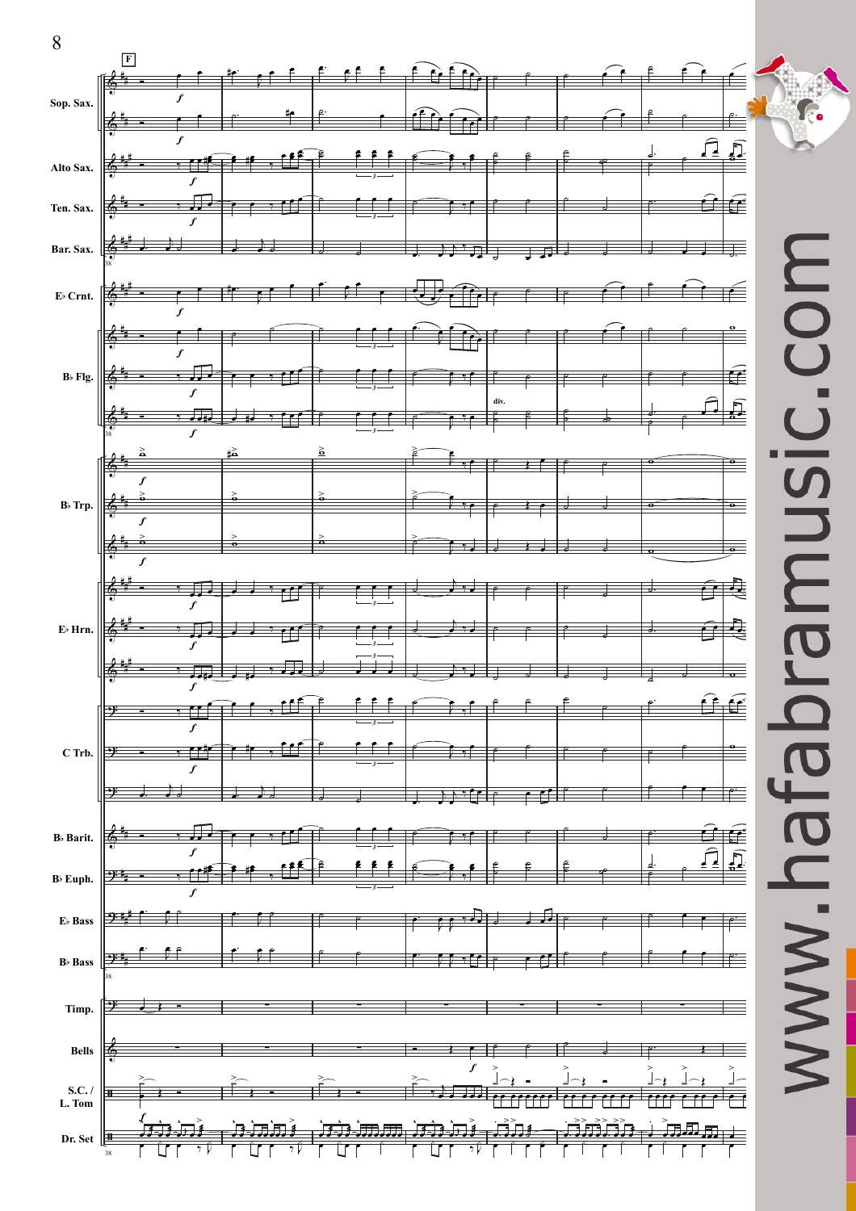

 $\overline{\textbf{C}}$ 

T.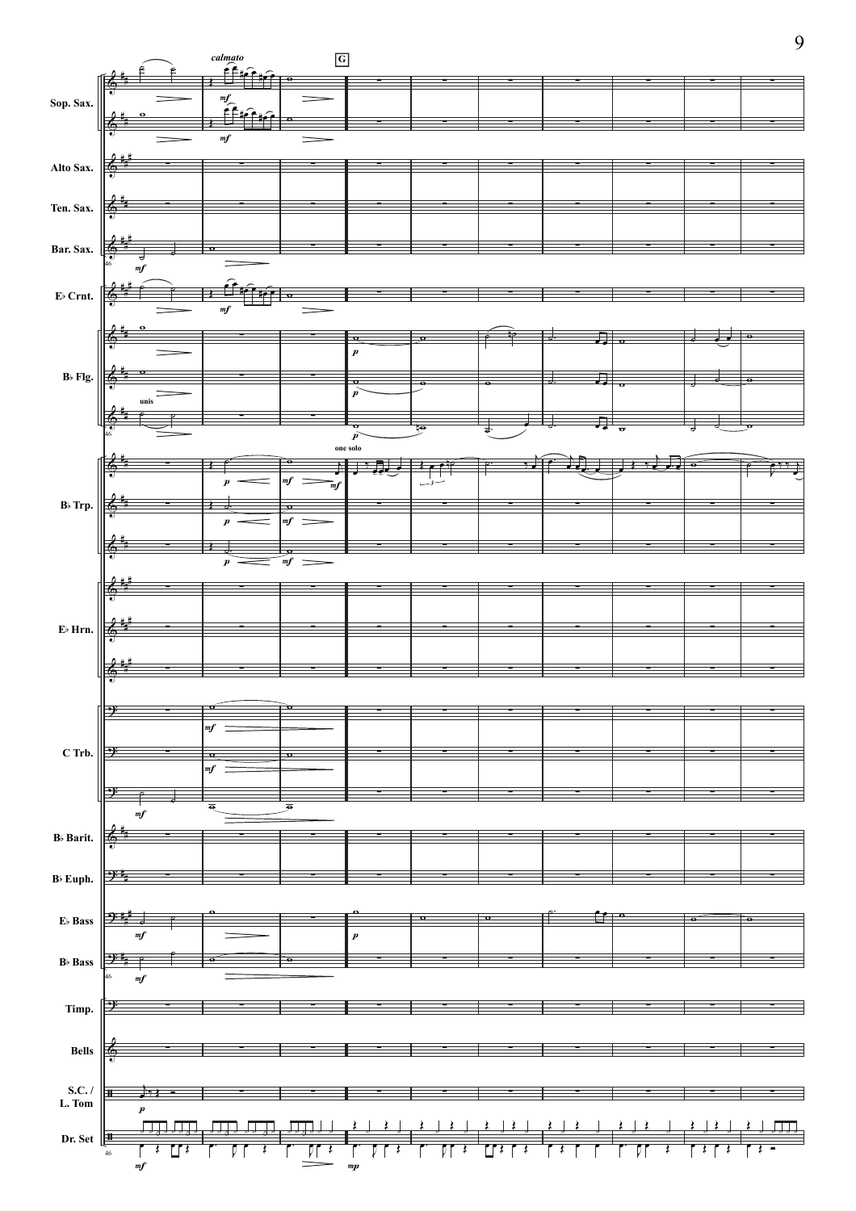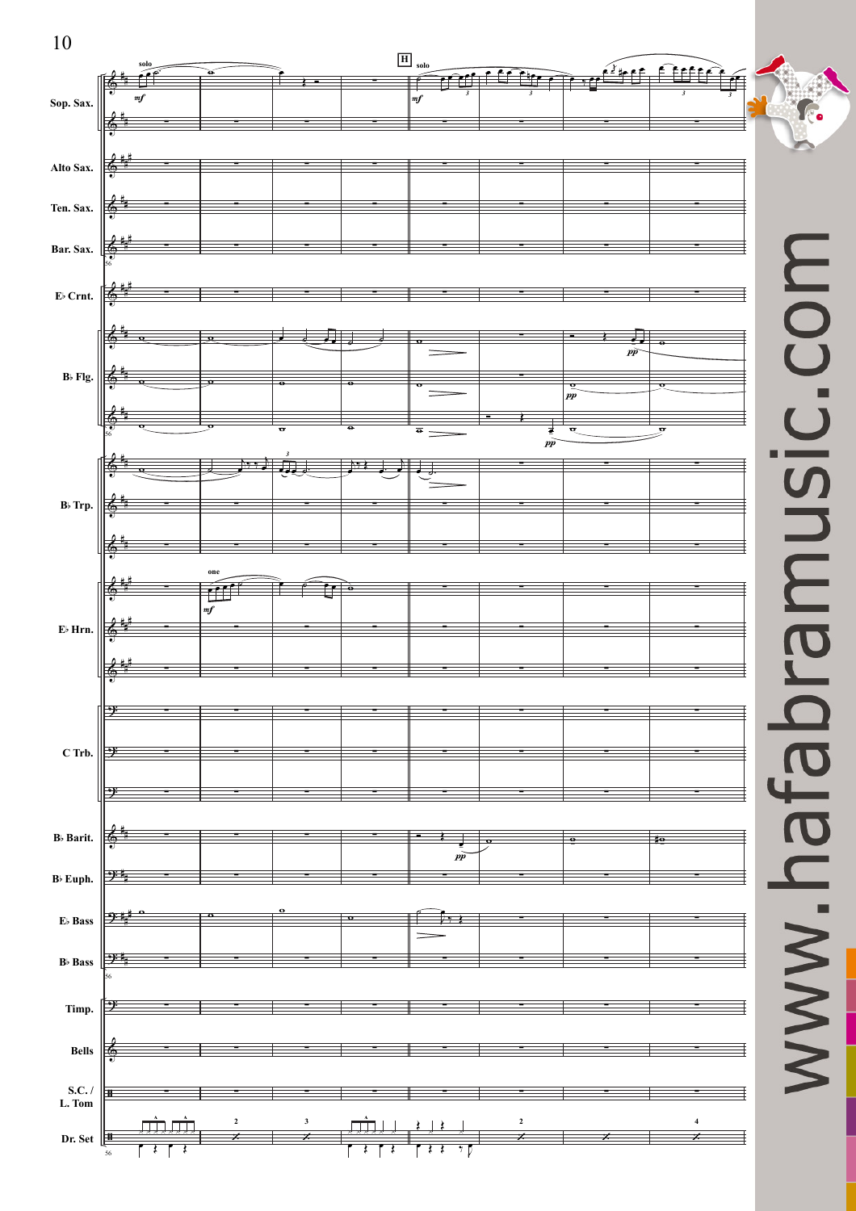

WW.l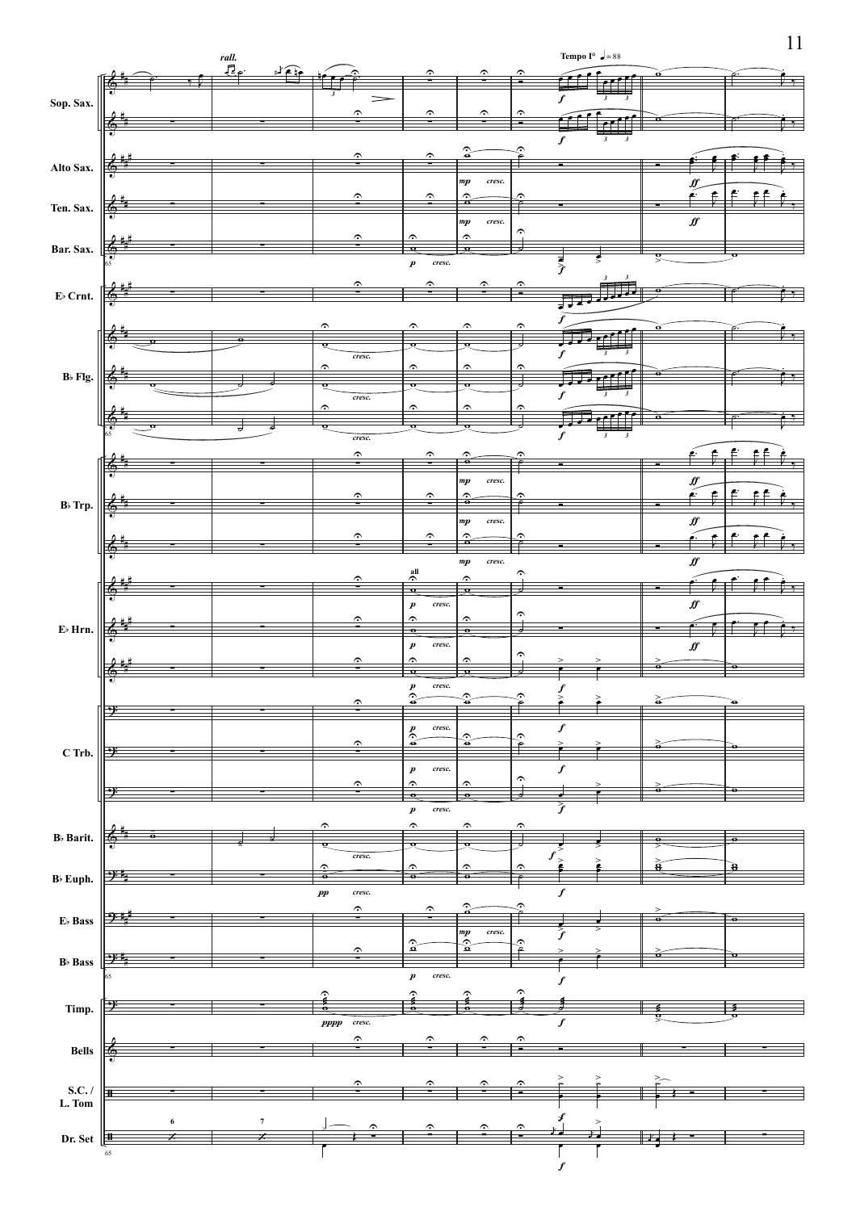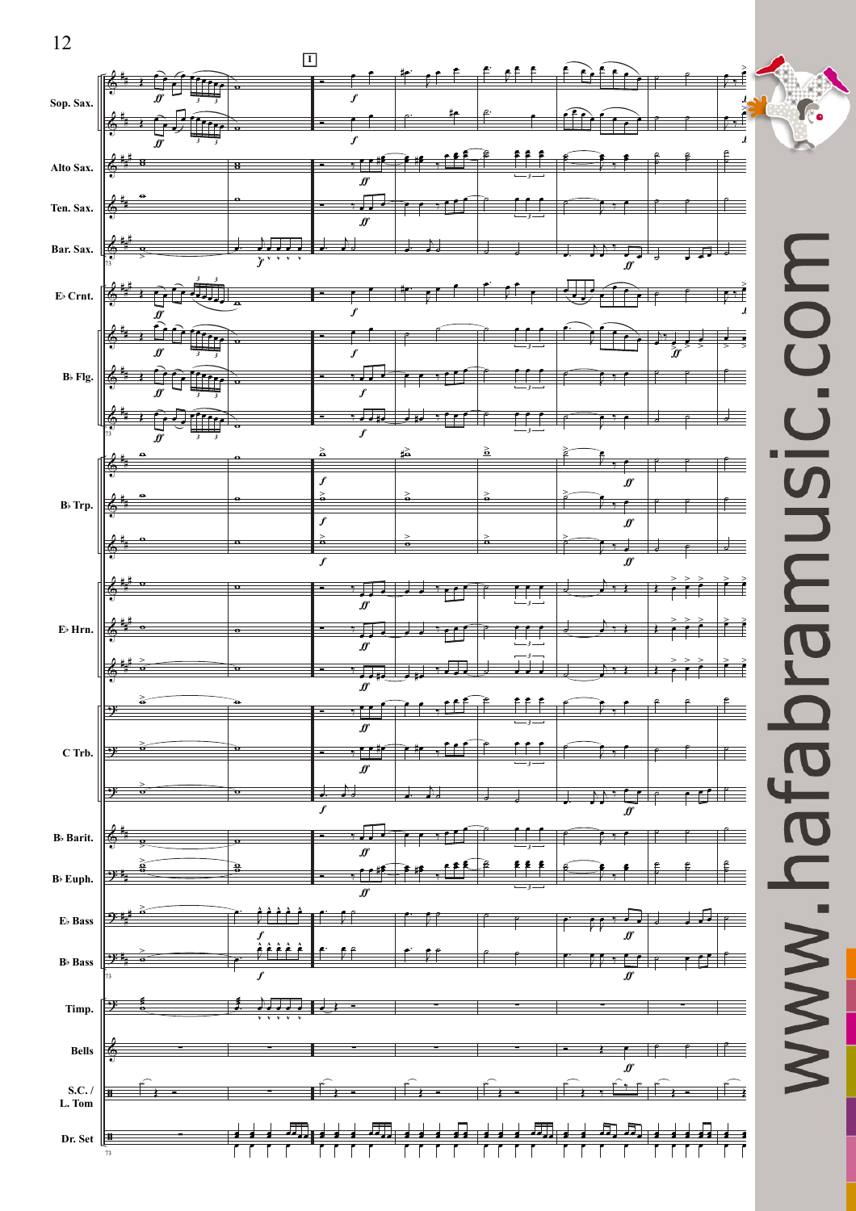

WWW.